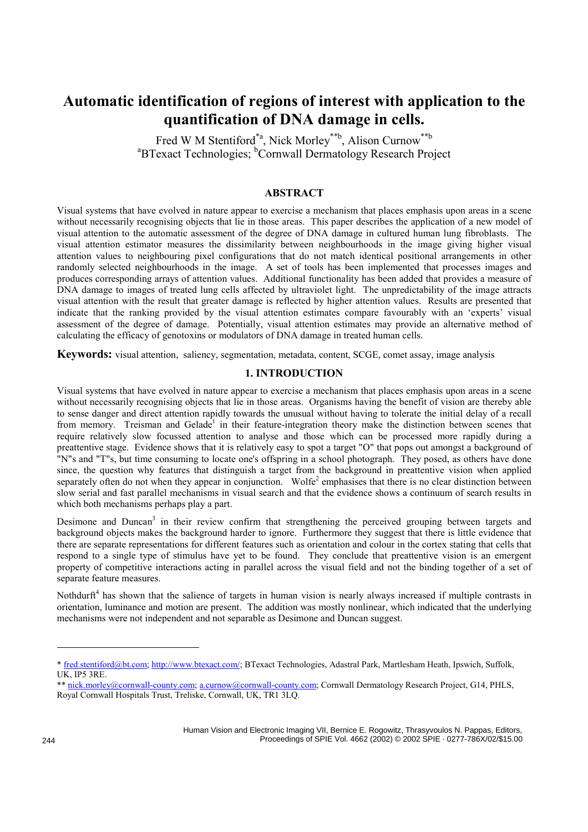# **Automatic identification of regions of interest with application to the quantification of DNA damage in cells.**

Fred W M Stentiford\*a, Nick Morley\*\*b, Alison Curnow\*\*b <sup>a</sup>BTexact Technologies; <sup>b</sup>Cornwall Dermatology Research Project

## **ABSTRACT**

Visual systems that have evolved in nature appear to exercise a mechanism that places emphasis upon areas in a scene without necessarily recognising objects that lie in those areas. This paper describes the application of a new model of visual attention to the automatic assessment of the degree of DNA damage in cultured human lung fibroblasts. The visual attention estimator measures the dissimilarity between neighbourhoods in the image giving higher visual attention values to neighbouring pixel configurations that do not match identical positional arrangements in other randomly selected neighbourhoods in the image. A set of tools has been implemented that processes images and produces corresponding arrays of attention values. Additional functionality has been added that provides a measure of DNA damage to images of treated lung cells affected by ultraviolet light. The unpredictability of the image attracts visual attention with the result that greater damage is reflected by higher attention values. Results are presented that indicate that the ranking provided by the visual attention estimates compare favourably with an 'experts' visual assessment of the degree of damage. Potentially, visual attention estimates may provide an alternative method of calculating the efficacy of genotoxins or modulators of DNA damage in treated human cells.

**Keywords:** visual attention, saliency, segmentation, metadata, content, SCGE, comet assay, image analysis

#### **1. INTRODUCTION**

Visual systems that have evolved in nature appear to exercise a mechanism that places emphasis upon areas in a scene without necessarily recognising objects that lie in those areas. Organisms having the benefit of vision are thereby able to sense danger and direct attention rapidly towards the unusual without having to tolerate the initial delay of a recall from memory. Treisman and Gelade<sup>1</sup> in their feature-integration theory make the distinction between scenes that require relatively slow focussed attention to analyse and those which can be processed more rapidly during a preattentive stage. Evidence shows that it is relatively easy to spot a target "O" that pops out amongst a background of "N"s and "T"s, but time consuming to locate one's offspring in a school photograph. They posed, as others have done since, the question why features that distinguish a target from the background in preattentive vision when applied separately often do not when they appear in conjunction. Wolfe<sup>2</sup> emphasises that there is no clear distinction between slow serial and fast parallel mechanisms in visual search and that the evidence shows a continuum of search results in which both mechanisms perhaps play a part.

Desimone and Duncan<sup>3</sup> in their review confirm that strengthening the perceived grouping between targets and background objects makes the background harder to ignore. Furthermore they suggest that there is little evidence that there are separate representations for different features such as orientation and colour in the cortex stating that cells that respond to a single type of stimulus have yet to be found. They conclude that preattentive vision is an emergent property of competitive interactions acting in parallel across the visual field and not the binding together of a set of separate feature measures.

Nothdurft<sup>4</sup> has shown that the salience of targets in human vision is nearly always increased if multiple contrasts in orientation, luminance and motion are present. The addition was mostly nonlinear, which indicated that the underlying mechanisms were not independent and not separable as Desimone and Duncan suggest.

1

<sup>\*</sup> fred.stentiford@bt.com; http://www.btexact.com/; BTexact Technologies, Adastral Park, Martlesham Heath, Ipswich, Suffolk, UK, IP5 3RE.

<sup>\*\*</sup> nick.morley@cornwall-county.com; a.curnow@cornwall-county.com; Cornwall Dermatology Research Project, G14, PHLS, Royal Cornwall Hospitals Trust, Treliske, Cornwall, UK, TR1 3LQ.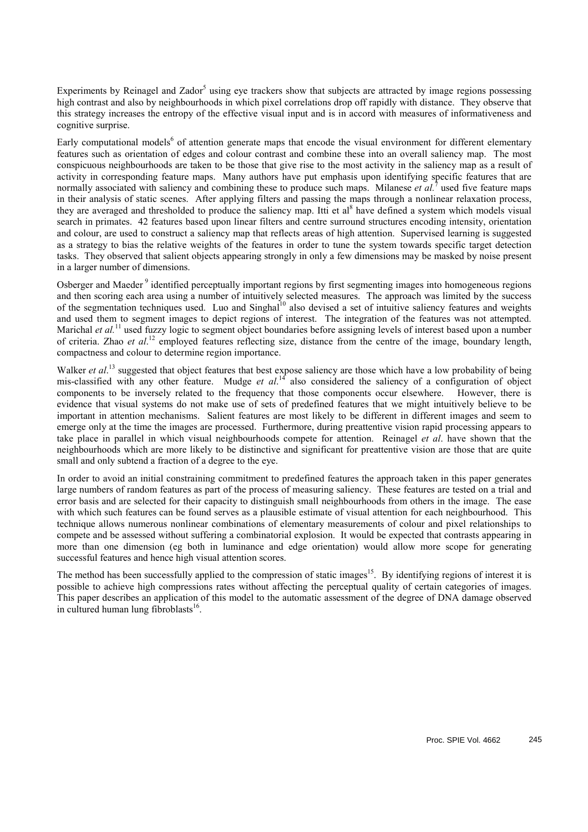Experiments by Reinagel and Zador<sup>5</sup> using eye trackers show that subjects are attracted by image regions possessing high contrast and also by neighbourhoods in which pixel correlations drop off rapidly with distance. They observe that this strategy increases the entropy of the effective visual input and is in accord with measures of informativeness and cognitive surprise.

Early computational models<sup>6</sup> of attention generate maps that encode the visual environment for different elementary features such as orientation of edges and colour contrast and combine these into an overall saliency map. The most conspicuous neighbourhoods are taken to be those that give rise to the most activity in the saliency map as a result of activity in corresponding feature maps. Many authors have put emphasis upon identifying specific features that are normally associated with saliency and combining these to produce such maps. Milanese *et al.*<sup>7</sup> used five feature maps in their analysis of static scenes. After applying filters and passing the maps through a nonlinear relaxation process, they are averaged and thresholded to produce the saliency map. Itti et al<sup>8</sup> have defined a system which models visual search in primates. 42 features based upon linear filters and centre surround structures encoding intensity, orientation and colour, are used to construct a saliency map that reflects areas of high attention. Supervised learning is suggested as a strategy to bias the relative weights of the features in order to tune the system towards specific target detection tasks. They observed that salient objects appearing strongly in only a few dimensions may be masked by noise present in a larger number of dimensions.

Osberger and Maeder<sup>9</sup> identified perceptually important regions by first segmenting images into homogeneous regions and then scoring each area using a number of intuitively selected measures. The approach was limited by the success of the segmentation techniques used. Luo and Singhal<sup>10</sup> also devised a set of intuitive saliency features and weights and used them to segment images to depict regions of interest. The integration of the features was not attempted. Marichal *et al.*<sup>11</sup> used fuzzy logic to segment object boundaries before assigning levels of interest based upon a number of criteria. Zhao *et al*. 12 employed features reflecting size, distance from the centre of the image, boundary length, compactness and colour to determine region importance.

Walker *et al.*<sup>13</sup> suggested that object features that best expose saliency are those which have a low probability of being mis-classified with any other feature. Mudge *et al.*<sup>14</sup> also considered the saliency of a configuration of object components to be inversely related to the frequency that those components occur elsewhere. However, there is evidence that visual systems do not make use of sets of predefined features that we might intuitively believe to be important in attention mechanisms. Salient features are most likely to be different in different images and seem to emerge only at the time the images are processed. Furthermore, during preattentive vision rapid processing appears to take place in parallel in which visual neighbourhoods compete for attention. Reinagel *et al*. have shown that the neighbourhoods which are more likely to be distinctive and significant for preattentive vision are those that are quite small and only subtend a fraction of a degree to the eye.

In order to avoid an initial constraining commitment to predefined features the approach taken in this paper generates large numbers of random features as part of the process of measuring saliency. These features are tested on a trial and error basis and are selected for their capacity to distinguish small neighbourhoods from others in the image. The ease with which such features can be found serves as a plausible estimate of visual attention for each neighbourhood. This technique allows numerous nonlinear combinations of elementary measurements of colour and pixel relationships to compete and be assessed without suffering a combinatorial explosion. It would be expected that contrasts appearing in more than one dimension (eg both in luminance and edge orientation) would allow more scope for generating successful features and hence high visual attention scores.

The method has been successfully applied to the compression of static images<sup>15</sup>. By identifying regions of interest it is possible to achieve high compressions rates without affecting the perceptual quality of certain categories of images. This paper describes an application of this model to the automatic assessment of the degree of DNA damage observed in cultured human lung fibroblasts $^{16}$ .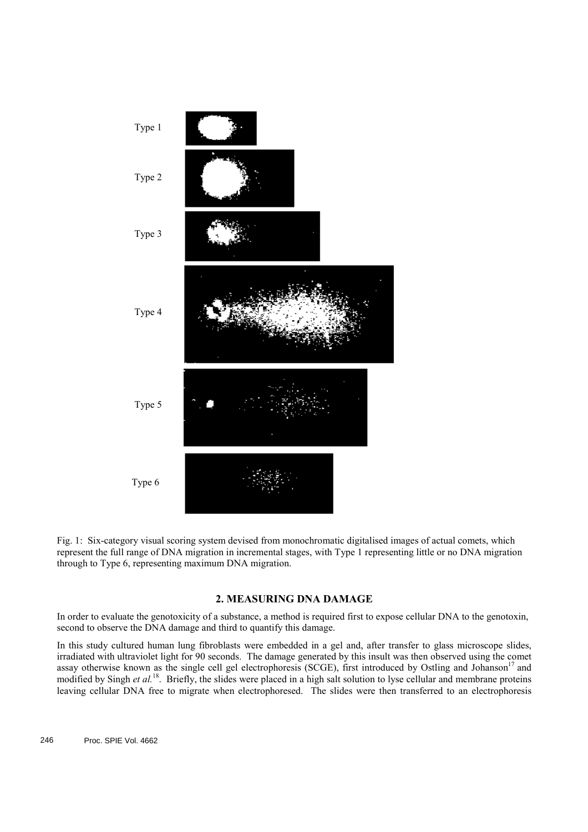

Fig. 1: Six-category visual scoring system devised from monochromatic digitalised images of actual comets, which represent the full range of DNA migration in incremental stages, with Type 1 representing little or no DNA migration through to Type 6, representing maximum DNA migration.

### **2. MEASURING DNA DAMAGE**

In order to evaluate the genotoxicity of a substance, a method is required first to expose cellular DNA to the genotoxin, second to observe the DNA damage and third to quantify this damage.

In this study cultured human lung fibroblasts were embedded in a gel and, after transfer to glass microscope slides, irradiated with ultraviolet light for 90 seconds. The damage generated by this insult was then observed using the comet assay otherwise known as the single cell gel electrophoresis (SCGE), first introduced by Ostling and Johanson<sup>17</sup> and modified by Singh *et al.*<sup>18</sup>. Briefly, the slides were placed in a high salt solution to lyse cellular and membrane proteins leaving cellular DNA free to migrate when electrophoresed. The slides were then transferred to an electrophoresis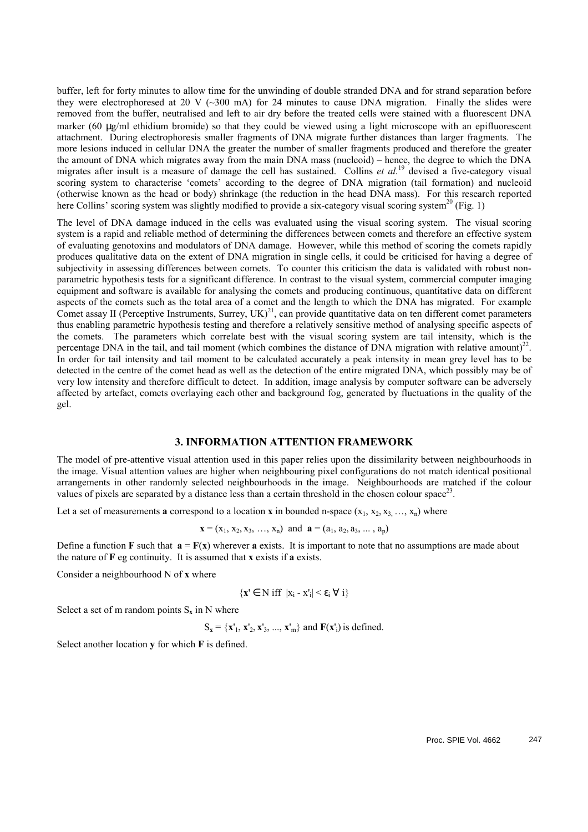buffer, left for forty minutes to allow time for the unwinding of double stranded DNA and for strand separation before they were electrophoresed at 20 V ( $\sim$ 300 mA) for 24 minutes to cause DNA migration. Finally the slides were removed from the buffer, neutralised and left to air dry before the treated cells were stained with a fluorescent DNA marker (60 µg/ml ethidium bromide) so that they could be viewed using a light microscope with an epifluorescent attachment. During electrophoresis smaller fragments of DNA migrate further distances than larger fragments. The more lesions induced in cellular DNA the greater the number of smaller fragments produced and therefore the greater the amount of DNA which migrates away from the main DNA mass (nucleoid) – hence, the degree to which the DNA migrates after insult is a measure of damage the cell has sustained. Collins *et al.*19 devised a five-category visual scoring system to characterise 'comets' according to the degree of DNA migration (tail formation) and nucleoid (otherwise known as the head or body) shrinkage (the reduction in the head DNA mass). For this research reported here Collins' scoring system was slightly modified to provide a six-category visual scoring system<sup>20</sup> (Fig. 1)

The level of DNA damage induced in the cells was evaluated using the visual scoring system. The visual scoring system is a rapid and reliable method of determining the differences between comets and therefore an effective system of evaluating genotoxins and modulators of DNA damage. However, while this method of scoring the comets rapidly produces qualitative data on the extent of DNA migration in single cells, it could be criticised for having a degree of subjectivity in assessing differences between comets. To counter this criticism the data is validated with robust nonparametric hypothesis tests for a significant difference. In contrast to the visual system, commercial computer imaging equipment and software is available for analysing the comets and producing continuous, quantitative data on different aspects of the comets such as the total area of a comet and the length to which the DNA has migrated. For example Comet assay II (Perceptive Instruments, Surrey,  $UK)^{21}$ , can provide quantitative data on ten different comet parameters thus enabling parametric hypothesis testing and therefore a relatively sensitive method of analysing specific aspects of the comets. The parameters which correlate best with the visual scoring system are tail intensity, which is the percentage DNA in the tail, and tail moment (which combines the distance of DNA migration with relative amount)<sup>22</sup>. In order for tail intensity and tail moment to be calculated accurately a peak intensity in mean grey level has to be detected in the centre of the comet head as well as the detection of the entire migrated DNA, which possibly may be of very low intensity and therefore difficult to detect. In addition, image analysis by computer software can be adversely affected by artefact, comets overlaying each other and background fog, generated by fluctuations in the quality of the gel.

## **3. INFORMATION ATTENTION FRAMEWORK**

The model of pre-attentive visual attention used in this paper relies upon the dissimilarity between neighbourhoods in the image. Visual attention values are higher when neighbouring pixel configurations do not match identical positional arrangements in other randomly selected neighbourhoods in the image. Neighbourhoods are matched if the colour values of pixels are separated by a distance less than a certain threshold in the chosen colour space<sup>23</sup>.

Let a set of measurements **a** correspond to a location **x** in bounded n-space  $(x_1, x_2, x_3, ..., x_n)$  where

$$
x = (x_1, x_2, x_3, ..., x_n)
$$
 and  $a = (a_1, a_2, a_3, ..., a_p)$ 

Define a function **F** such that  $\mathbf{a} = \mathbf{F}(\mathbf{x})$  wherever **a** exists. It is important to note that no assumptions are made about the nature of **F** eg continuity. It is assumed that **x** exists if **a** exists.

Consider a neighbourhood N of **x** where

$$
\{x' \in N \text{ iff } |x_i - x'_i| \le \epsilon_i \; \forall \; i\}
$$

Select a set of m random points  $S_x$  in N where

 $S_x = {\bf{x}'_1, x'_2, x'_3, ..., x'_m}$  and  $F(x'_i)$  is defined.

Select another location **y** for which **F** is defined.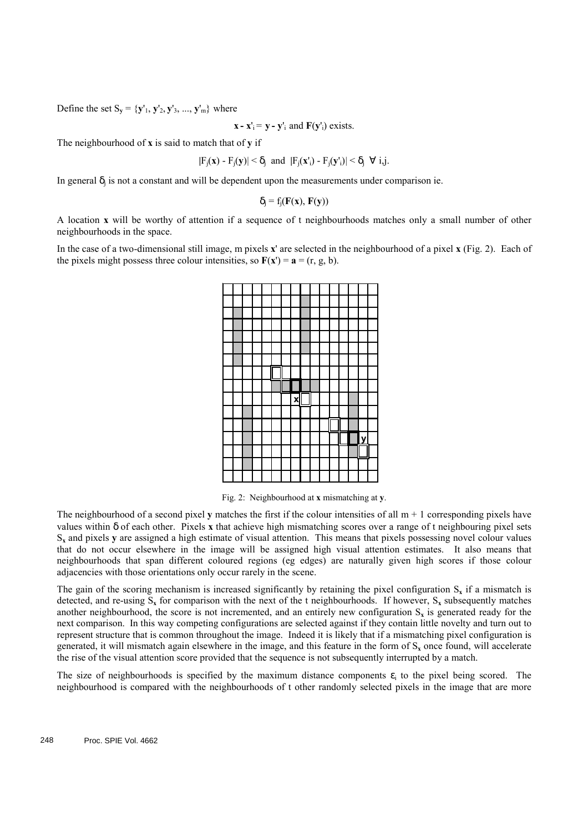Define the set  $S_y = \{y'_1, y'_2, y'_3, ..., y'_m\}$  where

$$
\mathbf{x} - \mathbf{x}'_i = \mathbf{y} - \mathbf{y}'_i
$$
 and  $\mathbf{F}(\mathbf{y}'_i)$  exists.

The neighbourhood of **x** is said to match that of **y** if

$$
|F_j(\mathbf{x}) - F_j(\mathbf{y})| \le \delta_j \text{ and } |F_j(\mathbf{x}_i') - F_j(\mathbf{y}_i')| \le \delta_j \quad \forall \ i, j.
$$

In general  $\delta_i$  is not a constant and will be dependent upon the measurements under comparison ie.

 $\delta_i = f_i(\mathbf{F}(\mathbf{x}), \mathbf{F}(\mathbf{v}))$ 

A location **x** will be worthy of attention if a sequence of t neighbourhoods matches only a small number of other neighbourhoods in the space.

In the case of a two-dimensional still image, m pixels **x**' are selected in the neighbourhood of a pixel **x** (Fig. 2). Each of the pixels might possess three colour intensities, so  $F(x') = a = (r, g, b)$ .



Fig. 2: Neighbourhood at **x** mismatching at **y**.

The neighbourhood of a second pixel **y** matches the first if the colour intensities of all m + 1 corresponding pixels have values within δ of each other. Pixels **x** that achieve high mismatching scores over a range of t neighbouring pixel sets S**x** and pixels **y** are assigned a high estimate of visual attention. This means that pixels possessing novel colour values that do not occur elsewhere in the image will be assigned high visual attention estimates. It also means that neighbourhoods that span different coloured regions (eg edges) are naturally given high scores if those colour adjacencies with those orientations only occur rarely in the scene.

The gain of the scoring mechanism is increased significantly by retaining the pixel configuration  $S_x$  if a mismatch is detected, and re-using  $S_x$  for comparison with the next of the t neighbourhoods. If however,  $S_x$  subsequently matches another neighbourhood, the score is not incremented, and an entirely new configuration  $S_x$  is generated ready for the next comparison. In this way competing configurations are selected against if they contain little novelty and turn out to represent structure that is common throughout the image. Indeed it is likely that if a mismatching pixel configuration is generated, it will mismatch again elsewhere in the image, and this feature in the form of S**x** once found, will accelerate the rise of the visual attention score provided that the sequence is not subsequently interrupted by a match.

The size of neighbourhoods is specified by the maximum distance components  $\varepsilon_i$  to the pixel being scored. The neighbourhood is compared with the neighbourhoods of t other randomly selected pixels in the image that are more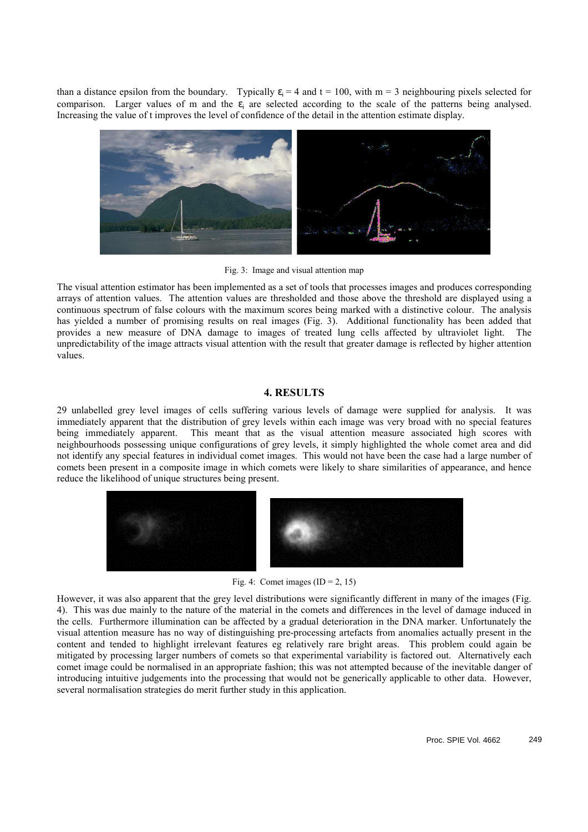than a distance epsilon from the boundary. Typically  $\varepsilon_i = 4$  and  $t = 100$ , with  $m = 3$  neighbouring pixels selected for comparison. Larger values of m and the  $\varepsilon_i$  are selected according to the scale of the patterns being analysed. Increasing the value of t improves the level of confidence of the detail in the attention estimate display.



Fig. 3: Image and visual attention map

The visual attention estimator has been implemented as a set of tools that processes images and produces corresponding arrays of attention values. The attention values are thresholded and those above the threshold are displayed using a continuous spectrum of false colours with the maximum scores being marked with a distinctive colour. The analysis has yielded a number of promising results on real images (Fig. 3). Additional functionality has been added that provides a new measure of DNA damage to images of treated lung cells affected by ultraviolet light. The unpredictability of the image attracts visual attention with the result that greater damage is reflected by higher attention values.

### **4. RESULTS**

29 unlabelled grey level images of cells suffering various levels of damage were supplied for analysis. It was immediately apparent that the distribution of grey levels within each image was very broad with no special features being immediately apparent. This meant that as the visual attention measure associated high scores with neighbourhoods possessing unique configurations of grey levels, it simply highlighted the whole comet area and did not identify any special features in individual comet images. This would not have been the case had a large number of comets been present in a composite image in which comets were likely to share similarities of appearance, and hence reduce the likelihood of unique structures being present.



Fig. 4: Comet images (ID = 2, 15)

However, it was also apparent that the grey level distributions were significantly different in many of the images (Fig. 4). This was due mainly to the nature of the material in the comets and differences in the level of damage induced in the cells. Furthermore illumination can be affected by a gradual deterioration in the DNA marker. Unfortunately the visual attention measure has no way of distinguishing pre-processing artefacts from anomalies actually present in the content and tended to highlight irrelevant features eg relatively rare bright areas. This problem could again be mitigated by processing larger numbers of comets so that experimental variability is factored out. Alternatively each comet image could be normalised in an appropriate fashion; this was not attempted because of the inevitable danger of introducing intuitive judgements into the processing that would not be generically applicable to other data. However, several normalisation strategies do merit further study in this application.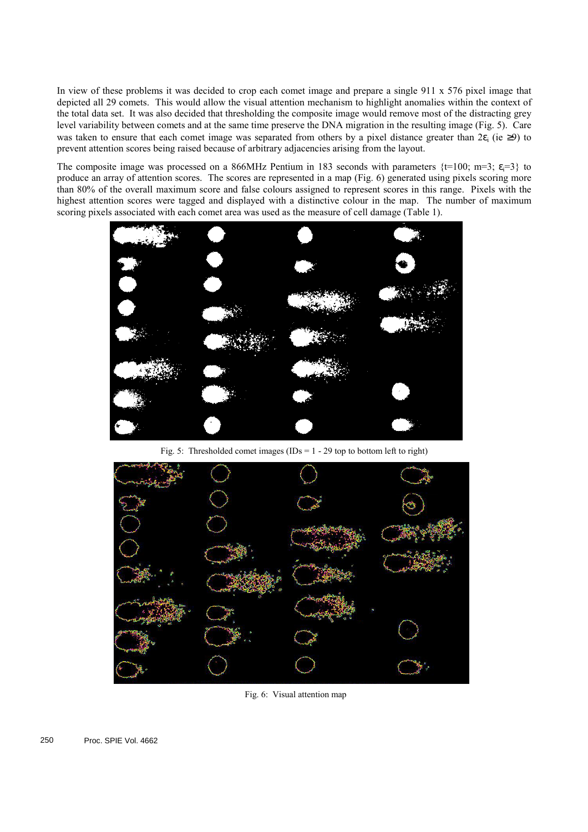In view of these problems it was decided to crop each comet image and prepare a single 911 x 576 pixel image that depicted all 29 comets. This would allow the visual attention mechanism to highlight anomalies within the context of the total data set. It was also decided that thresholding the composite image would remove most of the distracting grey level variability between comets and at the same time preserve the DNA migration in the resulting image (Fig. 5). Care was taken to ensure that each comet image was separated from others by a pixel distance greater than  $2\varepsilon_i$  (ie  $\geq$ 9) to prevent attention scores being raised because of arbitrary adjacencies arising from the layout.

The composite image was processed on a 866MHz Pentium in 183 seconds with parameters  $\{t=100$ ; m=3;  $\varepsilon$ <sub>i</sub>=3} to produce an array of attention scores. The scores are represented in a map (Fig. 6) generated using pixels scoring more than 80% of the overall maximum score and false colours assigned to represent scores in this range. Pixels with the highest attention scores were tagged and displayed with a distinctive colour in the map. The number of maximum scoring pixels associated with each comet area was used as the measure of cell damage (Table 1).



Fig. 5: Thresholded comet images (IDs =  $1 - 29$  top to bottom left to right)



Fig. 6: Visual attention map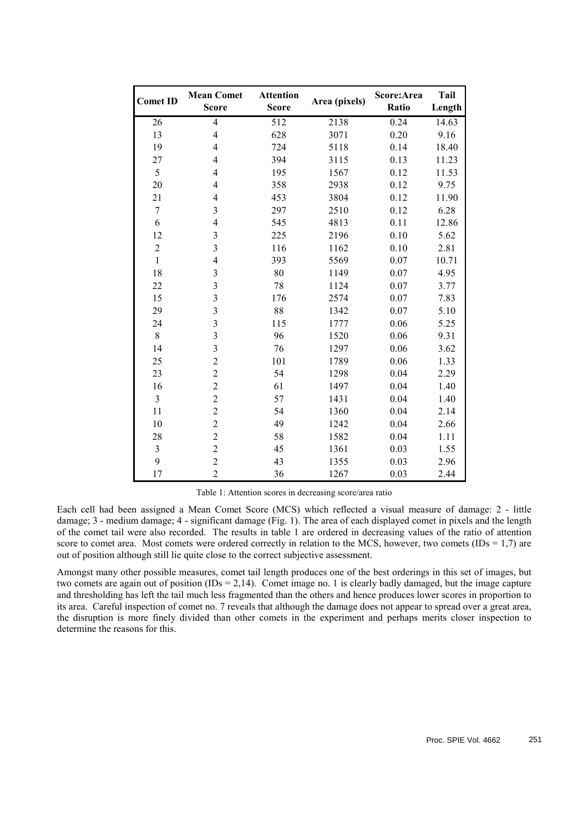| <b>Comet ID</b> | <b>Mean Comet</b><br><b>Score</b> | <b>Attention</b><br><b>Score</b> | Area (pixels) | Score:Area<br>Ratio | Tail<br>Length |
|-----------------|-----------------------------------|----------------------------------|---------------|---------------------|----------------|
| 26              | $\overline{4}$                    | 512                              | 2138          | 0.24                | 14.63          |
| 13              | $\overline{4}$                    | 628                              | 3071          | 0.20                | 9.16           |
| 19              | $\overline{4}$                    | 724                              | 5118          | 0.14                | 18.40          |
| 27              | $\overline{4}$                    | 394                              | 3115          | 0.13                | 11.23          |
| 5               | $\overline{4}$                    | 195                              | 1567          | 0.12                | 11.53          |
| 20              | $\overline{4}$                    | 358                              | 2938          | 0.12                | 9.75           |
| 21              | $\overline{4}$                    | 453                              | 3804          | 0.12                | 11.90          |
| $\overline{7}$  | 3                                 | 297                              | 2510          | 0.12                | 6.28           |
| 6               | $\overline{4}$                    | 545                              | 4813          | 0.11                | 12.86          |
| 12              | $\overline{\mathbf{3}}$           | 225                              | 2196          | 0.10                | 5.62           |
| $\overline{c}$  | $\overline{\mathbf{3}}$           | 116                              | 1162          | 0.10                | 2.81           |
| $\mathbf{1}$    | $\overline{4}$                    | 393                              | 5569          | 0.07                | 10.71          |
| 18              | 3                                 | 80                               | 1149          | 0.07                | 4.95           |
| 22              | $\overline{\mathbf{3}}$           | 78                               | 1124          | 0.07                | 3.77           |
| 15              | $\overline{\mathbf{3}}$           | 176                              | 2574          | 0.07                | 7.83           |
| 29              | $\overline{\mathbf{3}}$           | 88                               | 1342          | 0.07                | 5.10           |
| 24              | $\overline{\mathbf{3}}$           | 115                              | 1777          | 0.06                | 5.25           |
| $\,$ 8 $\,$     | $\overline{\mathbf{3}}$           | 96                               | 1520          | 0.06                | 9.31           |
| 14              | $\overline{\mathbf{3}}$           | 76                               | 1297          | 0.06                | 3.62           |
| 25              | $\overline{c}$                    | 101                              | 1789          | 0.06                | 1.33           |
| 23              | $\overline{c}$                    | 54                               | 1298          | 0.04                | 2.29           |
| 16              | $\overline{c}$                    | 61                               | 1497          | 0.04                | 1.40           |
| $\mathfrak{Z}$  | $\overline{c}$                    | 57                               | 1431          | 0.04                | 1.40           |
| 11              | $\overline{c}$                    | 54                               | 1360          | 0.04                | 2.14           |
| 10              | $\overline{c}$                    | 49                               | 1242          | 0.04                | 2.66           |
| 28              | $\overline{c}$                    | 58                               | 1582          | 0.04                | 1.11           |
| $\mathfrak{Z}$  | $\overline{c}$                    | 45                               | 1361          | 0.03                | 1.55           |
| 9               | $\overline{c}$                    | 43                               | 1355          | 0.03                | 2.96           |
| 17              | $\overline{2}$                    | 36                               | 1267          | 0.03                | 2.44           |

Table 1: Attention scores in decreasing score/area ratio

Each cell had been assigned a Mean Comet Score (MCS) which reflected a visual measure of damage: 2 - little damage; 3 - medium damage; 4 - significant damage (Fig. 1). The area of each displayed comet in pixels and the length of the comet tail were also recorded. The results in table 1 are ordered in decreasing values of the ratio of attention score to comet area. Most comets were ordered correctly in relation to the MCS, however, two comets (IDs =  $1,7$ ) are out of position although still lie quite close to the correct subjective assessment.

Amongst many other possible measures, comet tail length produces one of the best orderings in this set of images, but two comets are again out of position (IDs = 2,14). Comet image no. 1 is clearly badly damaged, but the image capture and thresholding has left the tail much less fragmented than the others and hence produces lower scores in proportion to its area. Careful inspection of comet no. 7 reveals that although the damage does not appear to spread over a great area, the disruption is more finely divided than other comets in the experiment and perhaps merits closer inspection to determine the reasons for this.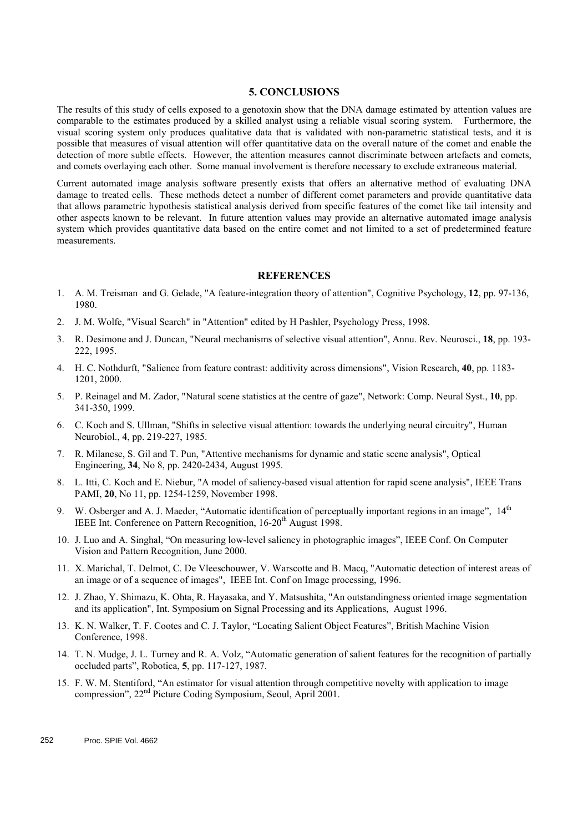### **5. CONCLUSIONS**

The results of this study of cells exposed to a genotoxin show that the DNA damage estimated by attention values are comparable to the estimates produced by a skilled analyst using a reliable visual scoring system. Furthermore, the visual scoring system only produces qualitative data that is validated with non-parametric statistical tests, and it is possible that measures of visual attention will offer quantitative data on the overall nature of the comet and enable the detection of more subtle effects. However, the attention measures cannot discriminate between artefacts and comets, and comets overlaying each other. Some manual involvement is therefore necessary to exclude extraneous material.

Current automated image analysis software presently exists that offers an alternative method of evaluating DNA damage to treated cells. These methods detect a number of different comet parameters and provide quantitative data that allows parametric hypothesis statistical analysis derived from specific features of the comet like tail intensity and other aspects known to be relevant. In future attention values may provide an alternative automated image analysis system which provides quantitative data based on the entire comet and not limited to a set of predetermined feature measurements.

## **REFERENCES**

- 1. A. M. Treisman and G. Gelade, "A feature-integration theory of attention", Cognitive Psychology, **12**, pp. 97-136, 1980.
- 2. J. M. Wolfe, "Visual Search" in "Attention" edited by H Pashler, Psychology Press, 1998.
- 3. R. Desimone and J. Duncan, "Neural mechanisms of selective visual attention", Annu. Rev. Neurosci., **18**, pp. 193- 222, 1995.
- 4. H. C. Nothdurft, "Salience from feature contrast: additivity across dimensions", Vision Research, **40**, pp. 1183- 1201, 2000.
- 5. P. Reinagel and M. Zador, "Natural scene statistics at the centre of gaze", Network: Comp. Neural Syst., **10**, pp. 341-350, 1999.
- 6. C. Koch and S. Ullman, "Shifts in selective visual attention: towards the underlying neural circuitry", Human Neurobiol., **4**, pp. 219-227, 1985.
- 7. R. Milanese, S. Gil and T. Pun, "Attentive mechanisms for dynamic and static scene analysis", Optical Engineering, **34**, No 8, pp. 2420-2434, August 1995.
- 8. L. Itti, C. Koch and E. Niebur, "A model of saliency-based visual attention for rapid scene analysis", IEEE Trans PAMI, **20**, No 11, pp. 1254-1259, November 1998.
- 9. W. Osberger and A. J. Maeder, "Automatic identification of perceptually important regions in an image",  $14<sup>th</sup>$ IEEE Int. Conference on Pattern Recognition, 16-20<sup>th</sup> August 1998.
- 10. J. Luo and A. Singhal, "On measuring low-level saliency in photographic images", IEEE Conf. On Computer Vision and Pattern Recognition, June 2000.
- 11. X. Marichal, T. Delmot, C. De Vleeschouwer, V. Warscotte and B. Macq, "Automatic detection of interest areas of an image or of a sequence of images", IEEE Int. Conf on Image processing, 1996.
- 12. J. Zhao, Y. Shimazu, K. Ohta, R. Hayasaka, and Y. Matsushita, "An outstandingness oriented image segmentation and its application", Int. Symposium on Signal Processing and its Applications, August 1996.
- 13. K. N. Walker, T. F. Cootes and C. J. Taylor, "Locating Salient Object Features", British Machine Vision Conference, 1998.
- 14. T. N. Mudge, J. L. Turney and R. A. Volz, "Automatic generation of salient features for the recognition of partially occluded partsî, Robotica, **5**, pp. 117-127, 1987.
- 15. F. W. M. Stentiford, "An estimator for visual attention through competitive novelty with application to image compression", 22<sup>nd</sup> Picture Coding Symposium, Seoul, April 2001.